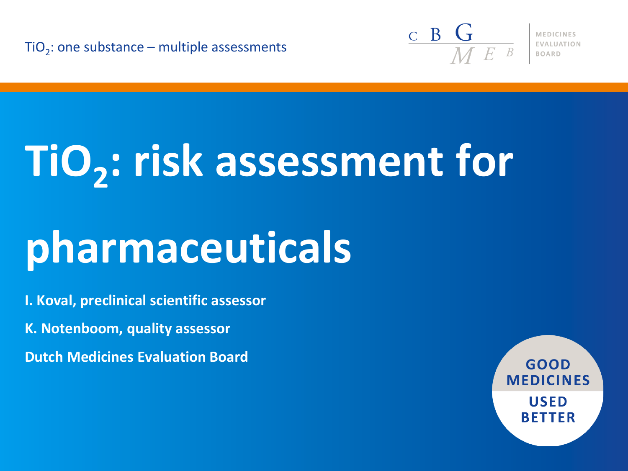TiO<sub>2</sub>: one substance – multiple assessments



**MEDICINES** 

# **TiO<sup>2</sup> : risk assessment for**

## **pharmaceuticals**

**I. Koval, preclinical scientific assessor**

**K. Notenboom, quality assessor**

**Dutch Medicines Evaluation Board**

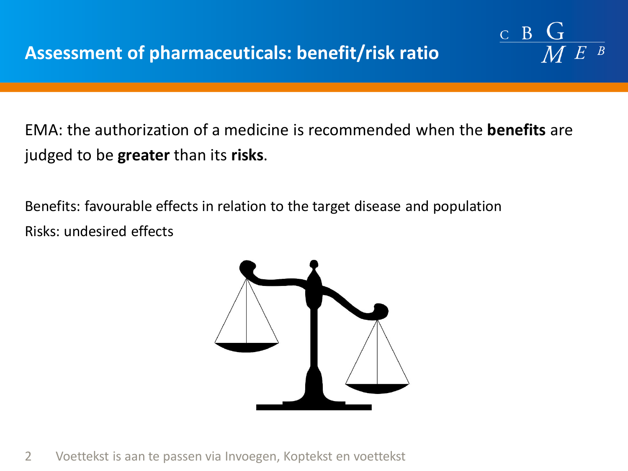EMA: the authorization of a medicine is recommended when the **benefits** are judged to be **greater** than its **risks**.

 $C$   $B$ 

Benefits: favourable effects in relation to the target disease and population Risks: undesired effects



2 Voettekst is aan te passen via Invoegen, Koptekst en voettekst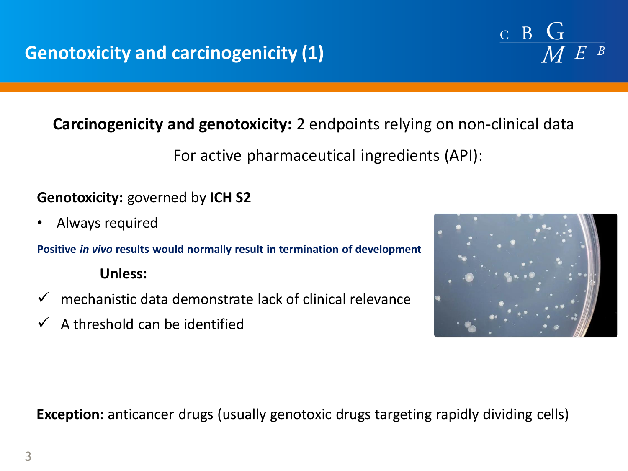## **Carcinogenicity and genotoxicity:** 2 endpoints relying on non-clinical data

For active pharmaceutical ingredients (API):

## **Genotoxicity:** governed by **ICH S2**

• Always required

**Positive** *in vivo* **results would normally result in termination of development**

#### **Unless:**

- $\checkmark$  mechanistic data demonstrate lack of clinical relevance
- $\checkmark$  A threshold can be identified



 $\mathbf{B}$ 

 $\overline{C}$ 

**Exception**: anticancer drugs (usually genotoxic drugs targeting rapidly dividing cells)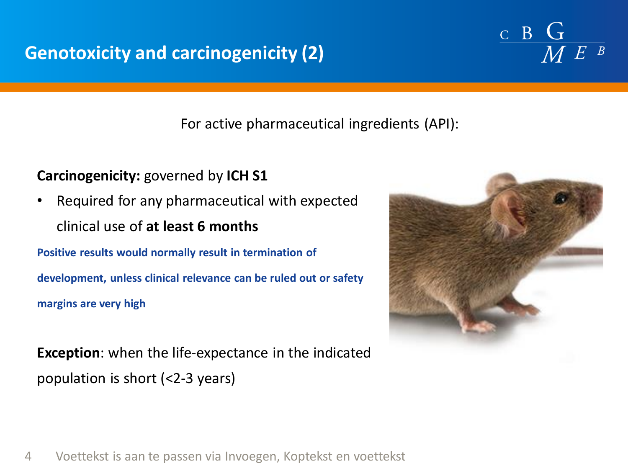## **Genotoxicity and carcinogenicity (2)**

#### For active pharmaceutical ingredients (API):

#### **Carcinogenicity:** governed by **ICH S1**

• Required for any pharmaceutical with expected clinical use of **at least 6 months**

**Positive results would normally result in termination of development, unless clinical relevance can be ruled out or safety margins are very high**

**Exception**: when the life-expectance in the indicated population is short (<2-3 years)



 $\frac{c}{M}$  B  $\frac{G}{M}$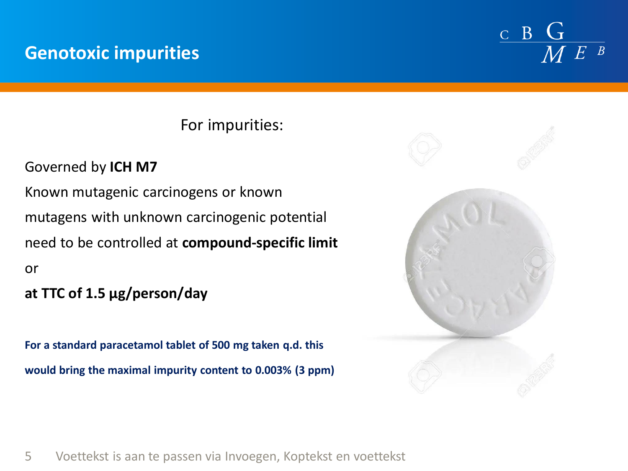## **Genotoxic impurities**

 $B<sub>1</sub>$  $\overline{C}$ 

For impurities:

## Governed by **ICH M7**

Known mutagenic carcinogens or known mutagens with unknown carcinogenic potential need to be controlled at **compound-specific limit**  or

### **at TTC of 1.5 µg/person/day**

**For a standard paracetamol tablet of 500 mg taken q.d. this would bring the maximal impurity content to 0.003% (3 ppm)** 

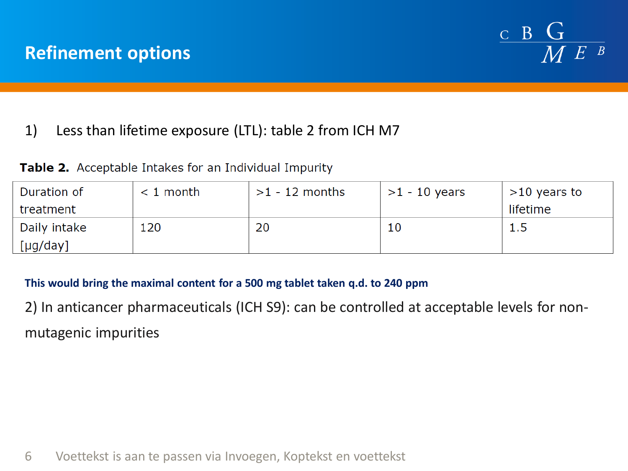

### 1) Less than lifetime exposure (LTL): table 2 from ICH M7

|  |  |  | <b>Table 2.</b> Acceptable Intakes for an Individual Impurity |  |
|--|--|--|---------------------------------------------------------------|--|
|--|--|--|---------------------------------------------------------------|--|

| Duration of  | $< 1$ month | $>1$ - 12 months | $>1$ - 10 years | $>10$ years to |
|--------------|-------------|------------------|-----------------|----------------|
| treatment    |             |                  |                 | lifetime       |
| Daily intake | L20         | 20               | 10              | ر . ب          |
| [µg/day]     |             |                  |                 |                |

**This would bring the maximal content for a 500 mg tablet taken q.d. to 240 ppm**

2) In anticancer pharmaceuticals (ICH S9): can be controlled at acceptable levels for nonmutagenic impurities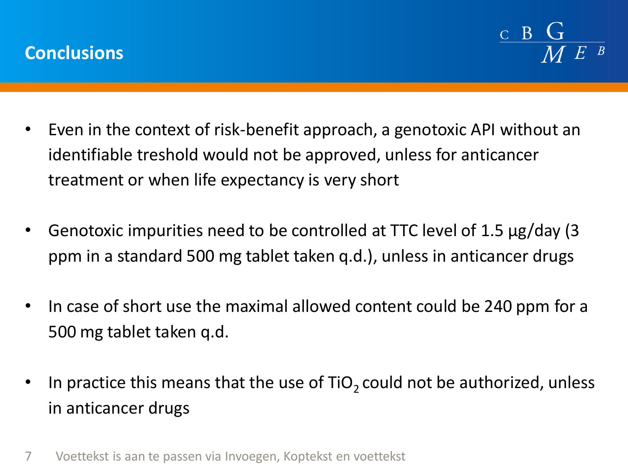

- Even in the context of risk-benefit approach, a genotoxic API without an identifiable treshold would not be approved, unless for anticancer treatment or when life expectancy is very short
- Genotoxic impurities need to be controlled at TTC level of 1.5 µg/day (3 ppm in a standard 500 mg tablet taken q.d.), unless in anticancer drugs
- In case of short use the maximal allowed content could be 240 ppm for a 500 mg tablet taken q.d.
- In practice this means that the use of  $TiO<sub>2</sub>$  could not be authorized, unless in anticancer drugs
- 7 Voettekst is aan te passen via Invoegen, Koptekst en voettekst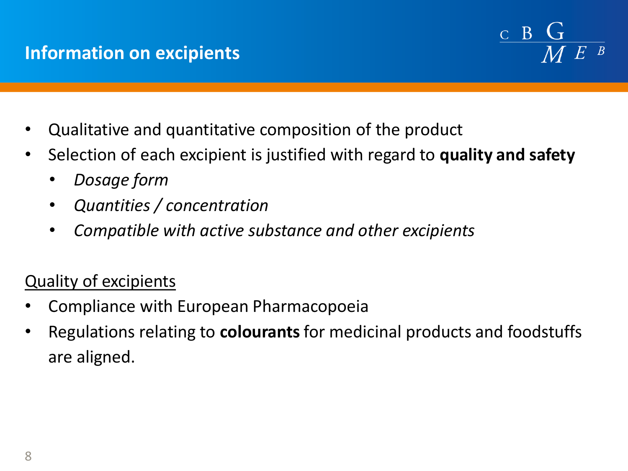## **Information on excipients**



- Qualitative and quantitative composition of the product
- Selection of each excipient is justified with regard to **quality and safety**
	- *Dosage form*
	- *Quantities / concentration*
	- *Compatible with active substance and other excipients*

## Quality of excipients

- Compliance with European Pharmacopoeia
- Regulations relating to **colourants**for medicinal products and foodstuffs are aligned.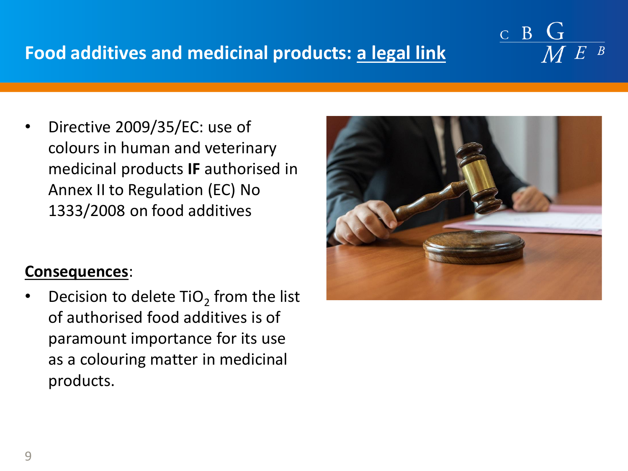## **Food additives and medicinal products: a legal link**

• Directive 2009/35/EC: use of colours in human and veterinary medicinal products **IF** authorised in Annex II to Regulation (EC) No 1333/2008 on food additives

#### **Consequences**:

• Decision to delete  $TiO<sub>2</sub>$  from the list of authorised food additives is of paramount importance for its use as a colouring matter in medicinal products.



 $C$  B  $G$ 

 $M E$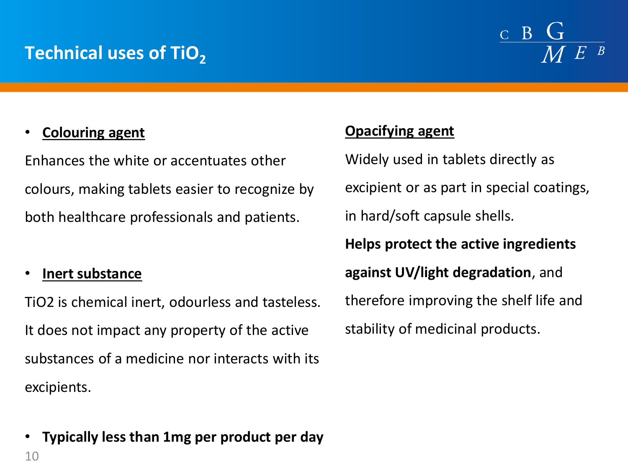## **Technical uses of TiO<sup>2</sup>**

## $C$   $B$

#### • **Colouring agent**

Enhances the white or accentuates other colours, making tablets easier to recognize by both healthcare professionals and patients.

#### • **Inert substance**

10

TiO2 is chemical inert, odourless and tasteless. It does not impact any property of the active substances of a medicine nor interacts with its excipients.

## • **Typically less than 1mg per product per day**

#### **Opacifying agent**

Widely used in tablets directly as excipient or as part in special coatings, in hard/soft capsule shells. **Helps protect the active ingredients against UV/light degradation**, and therefore improving the shelf life and stability of medicinal products.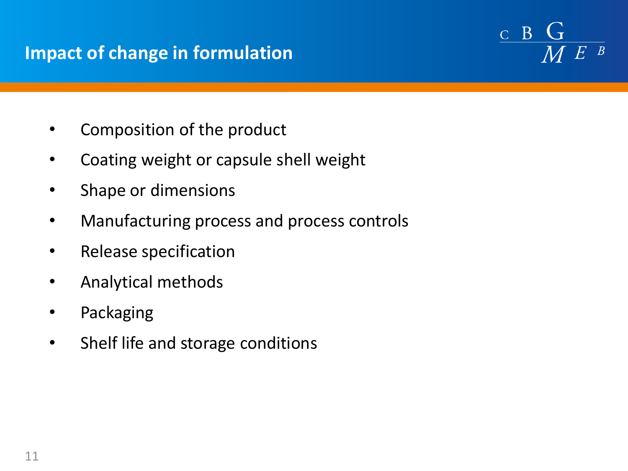## **Impact of change in formulation**

 $C$   $B$  $\overline{M}$  E

- Composition of the product
- Coating weight or capsule shell weight
- Shape or dimensions
- Manufacturing process and process controls
- Release specification
- Analytical methods
- **Packaging**
- Shelf life and storage conditions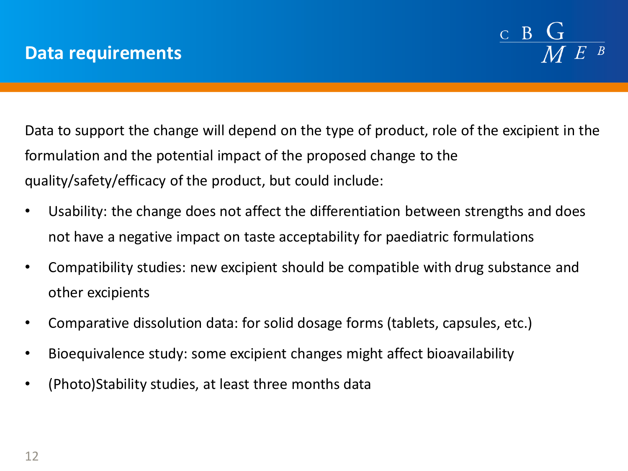

Data to support the change will depend on the type of product, role of the excipient in the formulation and the potential impact of the proposed change to the quality/safety/efficacy of the product, but could include:

- Usability: the change does not affect the differentiation between strengths and does not have a negative impact on taste acceptability for paediatric formulations
- Compatibility studies: new excipient should be compatible with drug substance and other excipients
- Comparative dissolution data: for solid dosage forms (tablets, capsules, etc.)
- Bioequivalence study: some excipient changes might affect bioavailability
- (Photo)Stability studies, at least three months data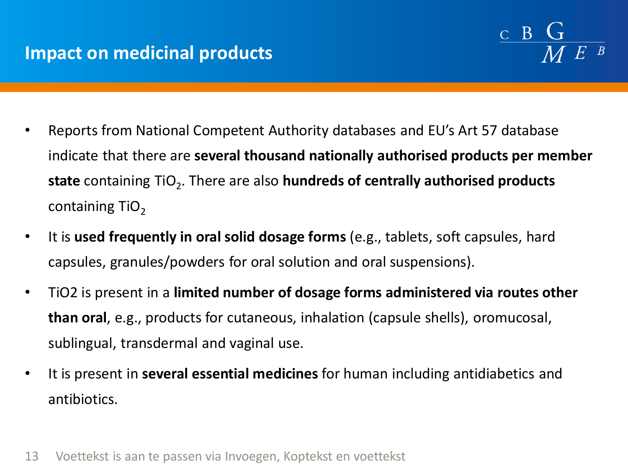

- Reports from National Competent Authority databases and EU's Art 57 database indicate that there are **several thousand nationally authorised products per member**  state containing TiO<sub>2</sub>. There are also **hundreds of centrally authorised products** containing  $TiO<sub>2</sub>$
- It is **used frequently in oral solid dosage forms** (e.g., tablets, soft capsules, hard capsules, granules/powders for oral solution and oral suspensions).
- TiO2 is present in a **limited number of dosage forms administered via routes other than oral**, e.g., products for cutaneous, inhalation (capsule shells), oromucosal, sublingual, transdermal and vaginal use.
- It is present in **several essential medicines** for human including antidiabetics and antibiotics.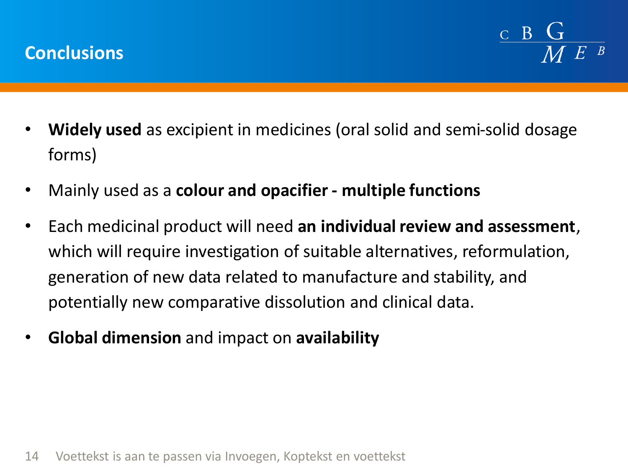

- **Widely used** as excipient in medicines (oral solid and semi-solid dosage forms)
- Mainly used as a **colour and opacifier - multiple functions**
- Each medicinal product will need **an individual review and assessment**, which will require investigation of suitable alternatives, reformulation, generation of new data related to manufacture and stability, and potentially new comparative dissolution and clinical data.
- **Global dimension** and impact on **availability**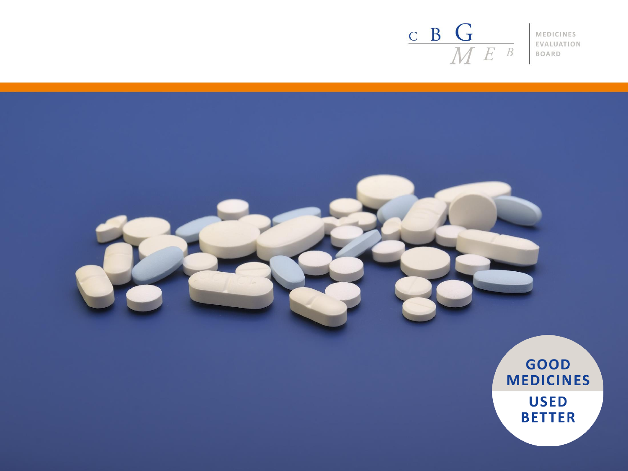#### $\frac{\mathbf{c}}{\mathbf{M}} \frac{\mathbf{G}}{\mathbf{M}}$ MEDICINES EVALUATION BOARD